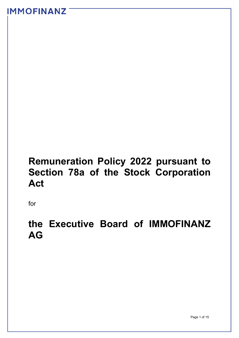# **Remuneration Policy 2022 pursuant to Section 78a of the Stock Corporation Act**

for

# **the Executive Board of IMMOFINANZ AG**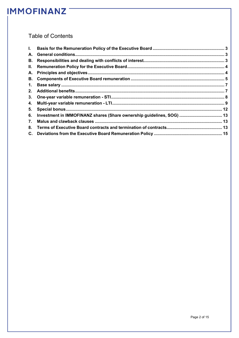### **Table of Contents**

| В. |                                                                       |  |
|----|-----------------------------------------------------------------------|--|
| Ш. |                                                                       |  |
|    |                                                                       |  |
|    |                                                                       |  |
|    |                                                                       |  |
|    |                                                                       |  |
|    |                                                                       |  |
|    |                                                                       |  |
| 5. |                                                                       |  |
| 6. | Investment in IMMOFINANZ shares (Share ownership guidelines, SOG)  13 |  |
| 7. |                                                                       |  |
| 8. |                                                                       |  |
|    |                                                                       |  |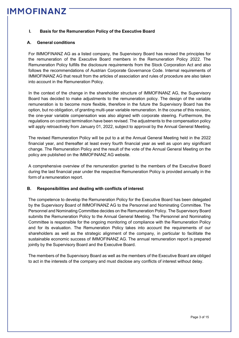#### <span id="page-2-0"></span>**I. Basis for the Remuneration Policy of the Executive Board**

#### <span id="page-2-1"></span>**A. General conditions**

For IMMOFINANZ AG as a listed company, the Supervisory Board has revised the principles for the remuneration of the Executive Board members in the Remuneration Policy 2022. The Remuneration Policy fulfills the disclosure requirements from the Stock Corporation Act and also follows the recommendations of Austrian Corporate Governance Code. Internal requirements of IMMOFINANZ AG that result from the articles of association and rules of procedure are also taken into account in the Remuneration Policy.

In the context of the change in the shareholder structure of IMMOFINANZ AG, the Supervisory Board has decided to make adjustments to the remuneration policy. The design of the variable remuneration is to become more flexible, therefore in the future the Supervisory Board has the option, but no obligation, of granting multi-year variable remuneration. In the course of this revision, the one-year variable compensation was also aligned with corporate steering. Furthermore, the regulations on contract termination have been revised. The adjustments to the compensation policy will apply retroactively from January 01, 2022, subject to approval by the Annual General Meeting.

The revised Remuneration Policy will be put to a at the Annual General Meeting held in the 2022 financial year, and thereafter at least every fourth financial year as well as upon any significant change. The Remuneration Policy and the result of the vote of the Annual General Meeting on the policy are published on the IMMOFINANZ AG website.

A comprehensive overview of the remuneration granted to the members of the Executive Board during the last financial year under the respective Remuneration Policy is provided annually in the form of a remuneration report.

#### <span id="page-2-2"></span>**B. Responsibilities and dealing with conflicts of interest**

The competence to develop the Remuneration Policy for the Executive Board has been delegated by the Supervisory Board of IMMOFINANZ AG to the Personnel and Nominating Committee. The Personnel and Nominating Committee decides on the Remuneration Policy. The Supervisory Board submits the Remuneration Policy to the Annual General Meeting. The Personnel and Nominating Committee is responsible for the ongoing monitoring of compliance with the Remuneration Policy and for its evaluation. The Remuneration Policy takes into account the requirements of our shareholders as well as the strategic alignment of the company, in particular to facilitate the sustainable economic success of IMMOFINANZ AG. The annual remuneration report is prepared jointly by the Supervisory Board and the Executive Board.

The members of the Supervisory Board as well as the members of the Executive Board are obliged to act in the interests of the company and must disclose any conflicts of interest without delay.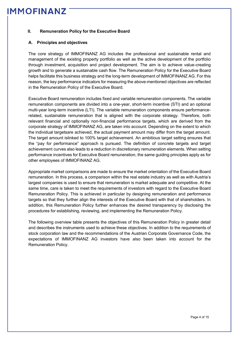#### <span id="page-3-0"></span>**II. Remuneration Policy for the Executive Board**

#### <span id="page-3-1"></span>**A. Principles and objectives**

The core strategy of IMMOFINANZ AG includes the professional and sustainable rental and management of the existing property portfolio as well as the active development of the portfolio through investment, acquisition and project development. The aim is to achieve value-creating growth and to generate a sustainable cash flow. The Remuneration Policy for the Executive Board helps facilitate this business strategy and the long-term development of IMMOFINANZ AG. For this reason, the key performance indicators for measuring the above-mentioned objectives are reflected in the Remuneration Policy of the Executive Board.

Executive Board remuneration includes fixed and variable remuneration components. The variable remuneration components are divided into a one-year, short-term incentive (STI) and an optional multi-year long-term incentive (LTI). The variable remuneration components ensure performancerelated, sustainable remuneration that is aligned with the corporate strategy. Therefore, both relevant financial and optionally non-financial performance targets, which are derived from the corporate strategy of IMMOFINANZ AG, are taken into account. Depending on the extent to which the individual targetsare achieved, the actual payment amount may differ from the target amount. The target amount islinked to 100% target achievement. An ambitious target setting ensures that the "pay for performance" approach is pursued. The definition of concrete targets and target achievement curves also leads to a reduction in discretionary remuneration elements. When setting performance incentives for Executive Board remuneration, the same guiding principles apply as for other employees of IMMOFINANZ AG.

Appropriate market comparisons are made to ensure the market orientation of the Executive Board remuneration. In this process, a comparison within the real estate industry as well as with Austria's largest companies is used to ensure that remuneration is market adequate and competitive. At the same time, care is taken to meet the requirements of investors with regard to the Executive Board Remuneration Policy. This is achieved in particular by designing remuneration and performance targets so that they further align the interests of the Executive Board with that of shareholders. In addition, this Remuneration Policy further enhances the desired transparency by disclosing the procedures for establishing, reviewing, and implementing the Remuneration Policy.

The following overview table presents the objectives of this Remuneration Policy in greater detail and describes the instruments used to achieve these objectives. In addition to the requirements of stock corporation law and the recommendations of the Austrian Corporate Governance Code, the expectations of IMMOFINANZ AG investors have also been taken into account for the Remuneration Policy.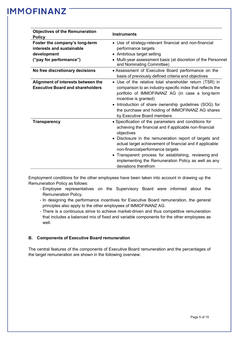| <b>Objectives of the Remuneration</b><br><b>Policy</b>                                                | <b>Instruments</b>                                                                                                                                                                                                                                                                                                                                                                                                                         |
|-------------------------------------------------------------------------------------------------------|--------------------------------------------------------------------------------------------------------------------------------------------------------------------------------------------------------------------------------------------------------------------------------------------------------------------------------------------------------------------------------------------------------------------------------------------|
| Foster the company's long-term<br>interests and sustainable<br>development<br>("pay for performance") | • Use of strategy-relevant financial and non-financial<br>performance targets<br>• Ambitious target setting<br>Multi-year assessment basis (at discretion of the Personnel<br>and Nominating Committee)                                                                                                                                                                                                                                    |
| No free discretionary decisions                                                                       | • Assessment of Executive Board performance on the<br>basis of previously defined criteria and objectives                                                                                                                                                                                                                                                                                                                                  |
| Alignment of interests between the<br><b>Executive Board and shareholders</b>                         | Use of the relative total shareholder return (TSR) in<br>comparison to an industry-specific index that reflects the<br>portfolio of IMMOFINANZ AG (in case a long-term<br>incentive is granted)<br>Introduction of share ownership guidelines (SOG) for<br>$\bullet$<br>the purchase and holding of IMMOFINANZ AG shares<br>by Executive Board members                                                                                     |
| <b>Transparency</b>                                                                                   | • Specification of the parameters and conditions for<br>achieving the financial and if applicable non-financial<br>objectives<br>Disclosure in the remuneration report of targets and<br>$\bullet$<br>actual target achievement of financial and if applicable<br>non-financialperformance targets<br>• Transparent process for establishing, reviewing and<br>implementing the Remuneration Policy as well as any<br>deviations therefrom |

Employment conditions for the other employees have been taken into account in drawing up the Remuneration Policy as follows:

- Employee representatives on the Supervisory Board were informed about the Remuneration Policy.
- In designing the performance incentives for Executive Board remuneration, the general principles also apply to the other employees of IMMOFINANZ AG.
- There is a continuous strive to achieve market-driven and thus competitive remuneration that includes a balanced mix of fixed and variable components for the other employees as well

#### <span id="page-4-0"></span>**B. Components of Executive Board remuneration**

The central features of the components of Executive Board remuneration and the percentages of the target remuneration are shown in the following overview: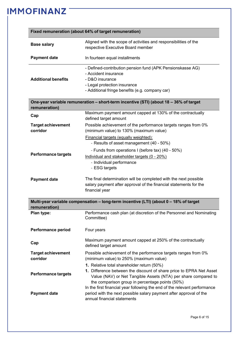|                                       | Fixed remuneration (about 64% of target remuneration)                                                                                                                                                                                  |  |  |
|---------------------------------------|----------------------------------------------------------------------------------------------------------------------------------------------------------------------------------------------------------------------------------------|--|--|
| <b>Base salary</b>                    | Aligned with the scope of activities and responsibilities of the                                                                                                                                                                       |  |  |
|                                       | respective Executive Board member                                                                                                                                                                                                      |  |  |
| <b>Payment date</b>                   | In fourteen equal installments                                                                                                                                                                                                         |  |  |
|                                       | - Defined-contribution pension fund (APK Pensionskasse AG)                                                                                                                                                                             |  |  |
| <b>Additional benefits</b>            | - Accident insurance<br>- D&O insurance                                                                                                                                                                                                |  |  |
|                                       | - Legal protection insurance                                                                                                                                                                                                           |  |  |
|                                       | - Additional fringe benefits (e.g. company car)                                                                                                                                                                                        |  |  |
| remuneration)                         | One-year variable remuneration - short-term incentive (STI) (about 18 - 36% of target                                                                                                                                                  |  |  |
| Cap                                   | Maximum payment amount capped at 130% of the contractually<br>defined target amount                                                                                                                                                    |  |  |
| <b>Target achievement</b><br>corridor | Possible achievement of the performance targets ranges from 0%<br>(minimum value) to 130% (maximum value)                                                                                                                              |  |  |
|                                       | Financial targets (equally weighted):<br>- Results of asset management (40 - 50%)                                                                                                                                                      |  |  |
|                                       | - Funds from operations I (before tax) (40 - 50%)                                                                                                                                                                                      |  |  |
| <b>Performance targets</b>            | Individual and stakeholder targets (0 - 20%)<br>- Individual performance                                                                                                                                                               |  |  |
| <b>Payment date</b>                   | - ESG targets<br>The final determination will be completed with the next possible<br>salary payment after approval of the financial statements for the<br>financial year                                                               |  |  |
| remuneration)                         | Multi-year variable compensation - long-term incentive (LTI) (about 0 - 18% of target                                                                                                                                                  |  |  |
| Plan type:                            | Performance cash plan (at discretion of the Personnel and Nominating<br>Committee)                                                                                                                                                     |  |  |
| <b>Performance period</b>             | Four years                                                                                                                                                                                                                             |  |  |
| Cap                                   | Maximum payment amount capped at 250% of the contractually<br>defined target amount                                                                                                                                                    |  |  |
| <b>Target achievement</b><br>corridor | Possible achievement of the performance targets ranges from 0%<br>(minimum value) to 250% (maximum value)                                                                                                                              |  |  |
| <b>Performance targets</b>            | 1. Relative total shareholder return (50%)<br>1. Difference between the discount of share price to EPRA Net Asset<br>Value (NAV) or Net Tangible Assets (NTA) per share compared to<br>the comparison group in percentage points (50%) |  |  |
| <b>Payment date</b>                   | In the first financial year following the end of the relevant performance<br>period with the next possible salary payment after approval of the<br>annual financial statements                                                         |  |  |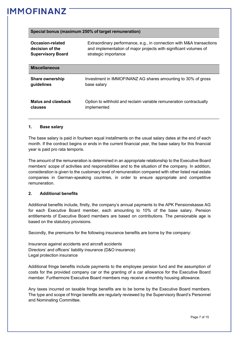|  |  |  | Special bonus (maximum 250% of target remuneration) |
|--|--|--|-----------------------------------------------------|
|--|--|--|-----------------------------------------------------|

| Occasion-related          | Extraordinary performance, e.g., in connection with M&A transactions |
|---------------------------|----------------------------------------------------------------------|
| decision of the           | and implementation of major projects with significant volumes of     |
| <b>Supervisory Board</b>  | strategic importance                                                 |
| <b>Miscellaneous</b>      |                                                                      |
| <b>Share ownership</b>    | Investment in IMMOFINANZ AG shares amounting to 30% of gross         |
| guidelines                | base salary                                                          |
| <b>Malus and clawback</b> | Option to withhold and reclaim variable remuneration contractually   |
| clauses                   | implemented                                                          |

#### <span id="page-6-0"></span>**1. Base salary**

The base salary is paid in fourteen equal installments on the usual salary dates at the end of each month. If the contract begins or ends in the current financial year, the base salary for this financial year is paid pro rata temporis.

The amount of the remuneration is determined in an appropriate relationship to the Executive Board members' scope of activities and responsibilities and to the situation of the company. In addition, consideration is given to the customary level of remuneration compared with other listed real estate companies in German-speaking countries, in order to ensure appropriate and competitive remuneration.

#### <span id="page-6-1"></span>**2. Additional benefits**

Additional benefits include, firstly, the company's annual payments to the APK Pensionskasse AG for each Executive Board member, each amounting to 10% of the base salary. Pension entitlements of Executive Board members are based on contributions. The pensionable age is based on the statutory provisions.

Secondly, the premiums for the following insurance benefits are borne by the company:

Insurance against accidents and aircraft accidents Directors' and officers' liability insurance (D&O insurance) Legal protection insurance

Additional fringe benefits include payments to the employee pension fund and the assumption of costs for the provided company car or the granting of a car allowance for the Executive Board member. Furthermore Executive Board members may receive a monthly housing allowance.

Any taxes incurred on taxable fringe benefits are to be borne by the Executive Board members. The type and scope of fringe benefits are regularly reviewed by the Supervisory Board's Personnel and Nominating Committee.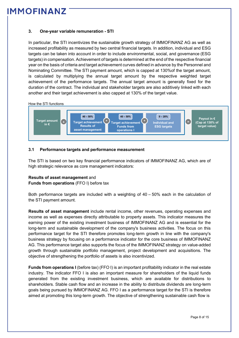#### <span id="page-7-0"></span>**3. One-year variable remuneration - STI**

In particular, the STI incentivizes the sustainable growth strategy of IMMOFINANZ AG as well as increased profitability as measured by two central financial targets. In addition, individual and ESG targets can be taken into account in order to include environmental, social, and governance (ESG targets) in compensation. Achievement of targets is determined at the end of the respective financial year on the basis of criteria and target achievement curves defined in advance by the Personnel and Nominating Committee. The STI payment amount, which is capped at 130%of the target amount, is calculated by multiplying the annual target amount by the respective weighted target achievement of the performance targets. The annual target amount is generally fixed for the duration of the contract. The individual and stakeholder targets are also additively linked with each another and their target achievement is also capped at 130% of the target value.



#### **3.1 Performance targets and performance measurement**

The STI is based on two key financial performance indicators of IMMOFINANZ AG, which are of high strategic relevance as core management indicators:

#### **Results of asset management** and

**Funds from operations** (FFO I) before tax

Both performance targets are included with a weighting of 40 – 50% each in the calculation of the STI payment amount.

**Results of asset management** include rental income, other revenues, operating expenses and income as well as expenses directly attributable to property assets. This indicator measures the earning power of the existing investment business of IMMOFINANZ AG and is essential for the long-term and sustainable development of the company's business activities. The focus on this performance target for the STI therefore promotes long-term growth in line with the company's business strategy by focusing on a performance indicator for the core business of IMMOFINANZ AG. This performance target also supports the focus of the IMMOFINANZ strategy on value-added growth through sustainable portfolio management, project development and acquisitions. The objective of strengthening the portfolio of assets is also incentivized.

**Funds from operations I** (before tax) (FFO I) is an important profitability indicator in the real estate industry. The indicator FFO I is also an important measure for shareholders of the liquid funds generated from the existing investment business, which are available for distributions to shareholders. Stable cash flow and an increase in the ability to distribute dividends are long-term goals being pursued by IMMOFINANZ AG. FFO I as a performance target for the STI is therefore aimed at promoting this long-term growth. The objective of strengthening sustainable cash flow is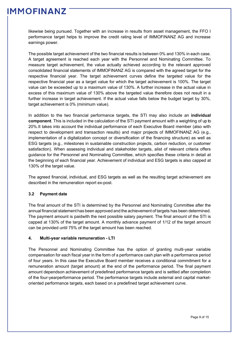likewise being pursued. Together with an increase in results from asset management, the FFO I performance target helps to improve the credit rating level of IMMOFINANZ AG and increase earnings power.

The possible target achievement of the two financial results is between 0% and 130% in each case. A target agreement is reached each year with the Personnel and Nominating Committee. To measure target achievement, the value actually achieved according to the relevant approved consolidated financial statements of IMMOFINANZ AG is compared with the agreed target for the respective financial year. The target achievement curves define the targeted value for the respective financial year as a target value for which the target achievement is 100%. The target value can be exceeded up to a maximum value of 130%. A further increase in the actual value in excess of this maximum value of 130% above the targeted value therefore does not result in a further increase in target achievement. If the actual value falls below the budget target by 30%, target achievement is 0% (minimum value).

In addition to the two financial performance targets, the STI may also include an **individual component**. This is included in the calculation of the STI payment amount with a weighting of up to 20%.It takes into account the individual performance of each Executive Board member (also with respect to development and transaction results) and major projects of IMMOFINANZ AG (e.g., implementation of a digitalization concept or diversification of the financing structure) as well as ESG targets (e.g., milestones in sustainable construction projects, carbon reduction, or customer satisfaction). When assessing individual and stakeholder targets, alist of relevant criteria offers guidance for the Personnel and Nominating Committee, which specifies these criteria in detail at the beginning of each financial year. Achievement of individual and ESG targets is also capped at 130% of the target value.

The agreed financial, individual, and ESG targets as well as the resulting target achievement are described in the remuneration report ex-post.

#### **3.2 Payment date**

The final amount of the STI is determined by the Personnel and Nominating Committee after the annual financial statement has been approved and the achievement of targets has been determined. The payment amount is paidwith the next possible salary payment. The final amount of the STI is capped at 130% of the target amount. A monthly advance payment of 1/12 of the target amount can be provided until 75% of the target amount has been reached.

#### <span id="page-8-0"></span>**4. Multi-year variable remuneration - LTI**

The Personnel and Nominating Committee has the option of granting multi-year variable compensation for each fiscal year in the form of a performance cash plan with a performance period of four years. In this case the Executive Board member receives a conditional commitment for a remuneration amount (target amount) at the end of the performance period. The final payment amount dependson achievement of predefined performance targets and is settled after completion of the four-yearperformance period. The performance targets include external and capital marketoriented performance targets, each based on a predefined target achievement curve.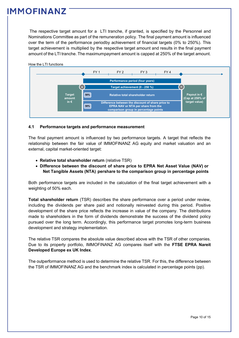The respective target amount for a LTI tranche, if granted, is specified by the Personnel and Nominations Committee as part of the remuneration policy. The final payment amount is influenced over the term of the performance periodby achievement of financial targets (0% to 250%). This target achievement is multiplied by the respective target amount and results in the final payment amount of the LTI tranche. The maximumpayment amount is capped at 250% of the target amount.



#### **4.1 Performance targets and performance measurement**

The final payment amount is influenced by two performance targets. A target that reflects the relationship between the fair value of IMMOFINANZ AG equity and market valuation and an external, capital market-oriented target:

- **Relative total shareholder return** (relative TSR)
- **Difference between the discount of share price to EPRA Net Asset Value (NAV) or Net Tangible Assets (NTA) pershare to the comparison group in percentage points**

Both performance targets are included in the calculation of the final target achievement with a weighting of 50% each.

**Total shareholder return** (TSR) describes the share performance over a period under review, including the dividends per share paid and notionally reinvested during this period. Positive development of the share price reflects the increase in value of the company. The distributions made to shareholders in the form of dividends demonstrate the success of the dividend policy pursued over the long term. Accordingly, this performance target promotes long-term business development and strategy implementation.

The relative TSR compares the absolute value described above with the TSR of other companies. Due to its property portfolio, IMMOFINANZ AG compares itself with the **FTSE EPRA Nareit Developed Europe ex UK Index**.

The outperformance method is used to determine the relative TSR. For this, the difference between the TSR of IMMOFINANZ AG and the benchmark index is calculated in percentage points (pp).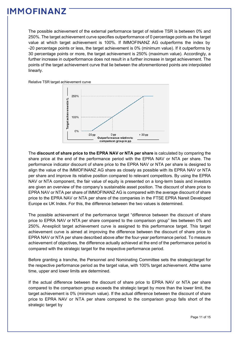The possible achievement of the external performance target of relative TSR is between 0% and 250%. The target achievement curve specifies outperformance of 0 percentage points as the target value at which target achievement is 100%. If IMMOFINANZ AG outperforms the index by -20 percentage points or less, the target achievement is 0% (minimum value). If it outperforms by 30 percentage points or more, the target achievement is 250% (maximum value). Accordingly, a further increase in outperformance does not result in a further increase in target achievement. The points of the target achievement curve that lie between the aforementioned points are interpolated linearly.

Relative TSR target achievement curve



The **discount of share price to the EPRA NAV or NTA per share** is calculated by comparing the share price at the end of the performance period with the EPRA NAV or NTA per share. The performance indicator discount of share price to the EPRA NAV or NTA per share is designed to align the value of the IMMOFINANZ AG share as closely as possible with its EPRA NAV or NTA per share and improve its relative position compared to relevant competitors. By using the EPRA NAV or NTA component, the fair value of equity is presented on a long-term basis and investors are given an overview of the company's sustainable asset position. The discount of share price to EPRA NAV or NTA per share of IMMOFINANZ AG is compared with the average discount of share price to the EPRA NAV or NTA per share of the companies in the FTSE EPRA Nareit Developed Europe ex UK Index. For this, the difference between the two values is determined.

The possible achievement of the performance target "difference between the discount of share price to EPRA NAV or NTA per share compared to the comparison group" lies between 0% and 250%. Anexplicit target achievement curve is assigned to this performance target. This target achievement curve is aimed at improving the difference between the discount of share price to EPRA NAV or NTA per share described above after the four-year performance period. To measure achievement of objectives, the difference actually achieved at the end of the performance period is compared with the strategic target for the respective performance period.

Before granting a tranche, the Personnel and Nominating Committee sets the strategictarget for the respective performance period as the target value, with 100% target achievement. Atthe same time, upper and lower limits are determined.

If the actual difference between the discount of share price to EPRA NAV or NTA per share compared to the comparison group exceeds the strategic target by more than the lower limit, the target achievement is 0% (minimum value). If the actual difference between the discount of share price to EPRA NAV or NTA per share compared to the comparison group falls short of the strategic target by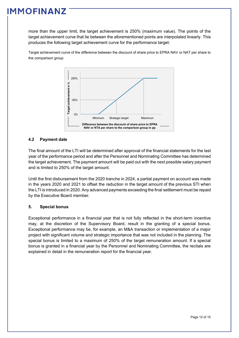more than the upper limit, the target achievement is 250% (maximum value). The points of the target achievement curve that lie between the aforementioned points are interpolated linearly. This produces the following target achievement curve for the performance target:

Target achievement curve of the difference between the discount of share price to EPRA NAV or NAT per share to the comparison group



#### **4.2 Payment date**

The final amount of the LTI will be determined after approval of the financial statements for the last year of the performance period and after the Personnel and Nominating Committee has determined the target achievement. The payment amount will be paid out with the next possible salary payment and is limited to 250% of the target amount.

Until the first disbursement from the 2020 tranche in 2024, a partial payment on account was made in the years 2020 and 2021 to offset the reduction in the target amount of the previous STI when the LTI is introduced in 2020. Any advanced payments exceeding the final settlement must be repaid by the Executive Board member.

#### <span id="page-11-0"></span>**5. Special bonus**

Exceptional performance in a financial year that is not fully reflected in the short-term incentive may, at the discretion of the Supervisory Board, result in the granting of a special bonus. Exceptional performance may be, for example, an M&A transaction or implementation of a major project with significant volume and strategic importance that was not included in the planning. The special bonus is limited to a maximum of 250% of the target remuneration amount. If a special bonus is granted in a financial year by the Personnel and Nominating Committee, the recitals are explained in detail in the remuneration report for the financial year.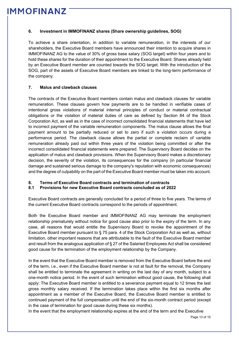#### <span id="page-12-0"></span>**6. Investment in IMMOFINANZ shares (Share ownership guidelines, SOG)**

To achieve a share orientation, in addition to variable remuneration, in the interests of our shareholders, the Executive Board members have announced their intention to acquire shares in IMMOFINANZ AG to the value of 30% of gross base salary (SOG target) within four years and to hold these shares for the duration of their appointment to the Executive Board. Shares already held by an Executive Board member are counted towards the SOG target. With the introduction of the SOG, part of the assets of Executive Board members are linked to the long-term performance of the company.

#### <span id="page-12-1"></span>**7. Malus and clawback clauses**

The contracts of the Executive Board members contain malus and clawback clauses for variable remuneration. These clauses govern how payments are to be handled in verifiable cases of intentional gross violations of material internal principles of conduct or material contractual obligations or the violation of material duties of care as defined by Section 84 of the Stock Corporation Act, as well as in the case of incorrect consolidated financial statements that have led to incorrect payment of the variable remuneration components. The malus clause allows the final payment amount to be partially reduced or set to zero if such a violation occurs during a performance period. The clawback clause allows the partial or complete reclaim of variable remuneration already paid out within three years of the violation being committed or after the incorrect consolidated financial statements were prepared. The Supervisory Board decides on the application of malus and clawback provisions. When the Supervisory Board makes a discretionary decision, the severity of the violation, its consequences for the company (in particular financial damage and sustained serious damage to the company's reputation with economic consequences) and the degree of culpability on the part of the Executive Board member must be taken into account.

#### <span id="page-12-2"></span>**8. Terms of Executive Board contracts and termination of contracts**

#### **8.1 Provisions for new Executive Board contracts concluded as of 2022**

Executive Board contracts are generally concluded for a period of three to five years. The terms of the current Executive Board contracts correspond to the periods of appointment.

Both the Executive Board member and IMMOFINANZ AG may terminate the employment relationship prematurely without notice for good cause also prior to the expiry of the term. In any case, all reasons that would entitle the Supervisory Board to revoke the appointment of the Executive Board member pursuant to § 75 para. 4 of the Stock Corporation Act as well as, without limitation, other important reasons that are attributable to the fault of the Executive Board member and result from the analogous application of § 27 of the Salaried Employees Act shall be considered good cause for the termination of the employment relationship by the Company.

In the event that the Executive Board member is removed from the Executive Board before the end of the term, i.e., even if the Executive Board member is not at fault for the removal, the Company shall be entitled to terminate the agreement in writing on the last day of any month, subject to a one-month notice period. In the event of such termination without good cause, the following shall apply: The Executive Board member is entitled to a severance payment equal to 12 times the last gross monthly salary received. If the termination takes place within the first six months after appointment as a member of the Executive Board, the Executive Board member is entitled to continued payment of the full compensation until the end of the six-month contract period (except in the case of termination for good cause during these six months).

In the event that the employment relationship expires at the end of the term and the Executive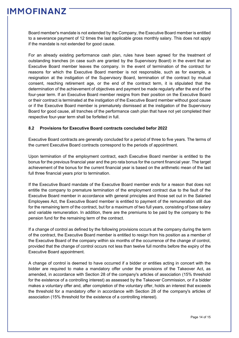Board member's mandate is not extended by the Company, the Executive Board member is entitled to a severance payment of 12 times the last applicable gross monthly salary. This does not apply if the mandate is not extended for good cause.

For an already existing performance cash plan, rules have been agreed for the treatment of outstanding tranches (in case such are granted by the Supervisory Board) in the event that an Executive Board member leaves the company. In the event of termination of the contract for reasons for which the Executive Board member is not responsible, such as for example, a resignation at the instigation of the Supervisory Board, termination of the contract by mutual consent, reaching retirement age, or the end of the contract term, it is stipulated that the determination of the achievement of objectives and payment be made regularly after the end of the four-year term. If an Executive Board member resigns from their position on the Executive Board or their contract is terminated at the instigation of the Executive Board member without good cause or if the Executive Board member is prematurely dismissed at the instigation of the Supervisory Board for good cause, all tranches of the performance cash plan that have not yet completed their respective four-year term shall be forfeited in full.

#### **8.2 Provisions for Executive Board contracts concluded befor 2022**

Executive Board contracts are generally concluded for a period of three to five years. The terms of the current Executive Board contracts correspond to the periods of appointment.

Upon termination of the employment contract, each Executive Board member is entitled to the bonus for the previous financial year and the pro rata bonus for the current financial year. The target achievement of the bonus for the current financial year is based on the arithmetic mean of the last full three financial years prior to termination.

If the Executive Board mandate of the Executive Board member ends for a reason that does not entitle the company to premature termination of the employment contract due to the fault of the Executive Board member in accordance with general principles and those set out in the Salaried Employees Act, the Executive Board member is entitled to payment of the remuneration still due for the remaining term of the contract, but for a maximum of two full years, consisting of base salary and variable remuneration. In addition, there are the premiums to be paid by the company to the pension fund for the remaining term of the contract.

If a change of control as defined by the following provisions occurs at the company during the term of the contract, the Executive Board member is entitled to resign from his position as a member of the Executive Board of the company within six months of the occurrence of the change of control, provided that the change of control occurs not less than twelve full months before the expiry of the Executive Board appointment.

A change of control is deemed to have occurred if a bidder or entities acting in concert with the bidder are required to make a mandatory offer under the provisions of the Takeover Act, as amended, in accordance with Section 28 of the company's articles of association (15% threshold for the existence of a controlling interest) as assessed by the Takeover Commission, or if a bidder makes a voluntary offer and, after completion of the voluntary offer, holds an interest that exceeds the threshold for a mandatory offer in accordance with Section 28 of the company's articles of association (15% threshold for the existence of a controlling interest).